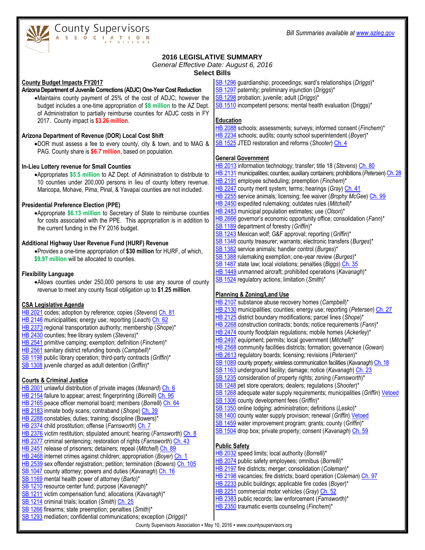

# County Supervisors

# **2016 LEGISLATIVE SUMMARY**

#### *General Effective Date: August 6, 2016*

**Select Bills**

**County Budget Impacts FY2017**

#### **Arizona Department of Juvenile Corrections (ADJC) One-Year Cost Reduction**

Maintains county payment of 25% of the cost of ADJC; however the budget includes a one-time appropriation of **\$8 million** to the AZ Dept. of Administration to partially reimburse counties for ADJC costs in FY 2017. County impact is **\$3.26 million**.

# **Arizona Department of Revenue (DOR) Local Cost Shift**

DOR must assess a fee to every county, city & town, and to MAG & PAG. County share is **\$6.7 million**, based on population.

# **In-Lieu Lottery revenue for Small Counties**

Appropriates **\$5.5 million** to AZ Dept. of Administration to distribute to 10 counties under 200,000 persons in lieu of county lottery revenue. Maricopa, Mohave, Pima, Pinal, & Yavapai counties are not included.

# **Presidential Preference Election (PPE)**

Appropriate **\$6.13 million** to Secretary of State to reimburse counties for costs associated with the PPE. This appropriation is in addition to the current funding in the FY 2016 budget.

#### **Additional Highway User Revenue Fund (HURF) Revenue**

Provides a one-time appropriation of **\$30 million** for HURF, of which, **\$9.97 million** will be allocated to counties.

#### **Flexibility Language**

Allows counties under 250,000 persons to use any source of county revenue to meet any county fiscal obligation up to **\$1.25 million**.

#### **CSA Legislative Agenda**

- [HB 2021](http://www.azleg.gov/DocumentsForBill.asp?Bill_Number=2021&Session_Id=115&image.x=0&image.y=0) codes; adoption by reference; copies (*Stevens*) [Ch. 81](http://www.azleg.gov/legtext/52leg/2r/laws/0081.pdf)
- [HB 2146](http://www.azleg.gov/DocumentsForBill.asp?Bill_Number=2146&Session_Id=115&image.x=0&image.y=0) municipalities; energy use; reporting (*Leach*[\) Ch. 62](http://www.azleg.gov/legtext/52leg/2r/laws/0062.pdf)
- [HB 2373](http://www.azleg.gov/DocumentsForBill.asp?Bill_Number=2373&Session_Id=115&image.x=0&image.y=0) regional transportation authority; membership (*Shope*)\*
- [HB 2430](http://www.azleg.gov/DocumentsForBill.asp?Bill_Number=2430&Session_Id=115&image.x=0&image.y=0) counties; free library system (*Stevens*)\*
- [HB 2541](http://www.azleg.gov/DocumentsForBill.asp?Bill_Number=2541&Session_Id=115&image.x=0&image.y=0) primitive camping; exemption; definition (*Finchem*)\*
- [HB 2561](http://www.azleg.gov/DocumentsForBill.asp?Bill_Number=2561&Session_Id=115&image.x=0&image.y=0) sanitary district refunding bonds (*Campbell*)\*
- [SB 1198](http://www.azleg.gov/DocumentsForBill.asp?Bill_Number=1198&Session_Id=115&image.x=0&image.y=0) public library operation; third-party contracts (*Griffin*)\*
- [SB 1308](http://www.azleg.gov/DocumentsForBill.asp?Bill_Number=1308&Session_Id=115&image.x=0&image.y=0) juvenile charged as adult detention (*Griffin*)\*

# **Courts & Criminal Justice**

- [HB 2001](http://www.azleg.gov/DocumentsForBill.asp?Bill_Number=2001&Session_Id=115&image.x=0&image.y=0) unlawful distribution of private images (*Mesnard*[\) Ch. 6](http://www.azleg.gov/legtext/52leg/2r/laws/0006.pdf)
- [HB 2154](http://www.azleg.gov/DocumentsForBill.asp?Bill_Number=2154&Session_Id=115&image.x=0&image.y=0) failure to appear; arrest; fingerprinting (*Borrelli*) [Ch. 95](http://www.azleg.gov/legtext/52leg/2r/laws/0095.pdf)
- [HB 2165](http://www.azleg.gov/DocumentsForBill.asp?Bill_Number=2165&Session_Id=115&image.x=0&image.y=0) peace officer memorial board; members (*Borrelli*) [Ch. 64](http://www.azleg.gov/legtext/52leg/2r/laws/0064.pdf)
- [HB 2183](http://www.azleg.gov/DocumentsForBill.asp?Bill_Number=2183&Session_Id=115&image.x=0&image.y=0) inmate body scans; contraband (*Shope*) [Ch. 39](http://www.azleg.gov/legtext/52leg/2r/laws/0039.pdf)
- [HB 2288](http://www.azleg.gov/DocumentsForBill.asp?Bill_Number=2288&Session_Id=115&image.x=0&image.y=0) constables; duties; training; discipline (Bowers)\* [HB 2374](http://www.azleg.gov/DocumentsForBill.asp?Bill_Number=2374&Session_Id=115&image.x=0&image.y=0) child prostitution; offense (*Farnsworth*[\) Ch. 7](http://www.azleg.gov/legtext/52leg/2r/laws/0007.pdf)
- [HB 2376](http://www.azleg.gov/DocumentsForBill.asp?Bill_Number=2376&Session_Id=115&image.x=0&image.y=0) victim restitution; stipulated amount; hearing (*Farnsworth*[\) Ch. 8](http://www.azleg.gov/legtext/52leg/2r/laws/0008.pdf)
- [HB 2377](http://www.azleg.gov/DocumentsForBill.asp?Bill_Number=2377&Session_Id=115&image.x=0&image.y=0) criminal sentencing; restoration of rights (*Farnsworth*) [Ch. 43](http://www.azleg.gov/legtext/52leg/2r/laws/0043.pdf)
- [HB 2451](http://www.azleg.gov/DocumentsForBill.asp?Bill_Number=2451&Session_Id=115&image.x=0&image.y=0) release of prisoners; detainers; repeal (*Mitchell*[\) Ch. 89](http://www.azleg.gov/legtext/52leg/2r/laws/0089.pdf)
- [HB 2468](http://www.azleg.gov/DocumentsForBill.asp?Bill_Number=2468&Session_Id=115&image.x=0&image.y=0) internet crimes against children; appropriation (*Boyer*[\) Ch. 1](http://www.azleg.gov/legtext/52leg/2r/laws/0001.pdf)
- [HB 2539](http://www.azleg.gov/DocumentsForBill.asp?Bill_Number=2539&Session_Id=115&image.x=0&image.y=0) sex offender registration; petition; termination (*Bowers*[\) Ch. 105](http://www.azleg.gov/legtext/52leg/2r/laws/0105.pdf)
- [SB 1047](http://www.azleg.gov/DocumentsForBill.asp?Bill_Number=1047&Session_Id=115&image.x=0&image.y=0) county attorney; powers and duties (*Kavanagh*) [Ch. 16](http://www.azleg.gov/legtext/52leg/2r/laws/0016.pdf)
- [SB 1169](http://www.azleg.gov/DocumentsForBill.asp?Bill_Number=1169&Session_Id=115&image.x=0&image.y=0) mental health power of attorney (*Barto*)\*
- [SB 1210](http://www.azleg.gov/DocumentsForBill.asp?Bill_Number=1210&Session_Id=115&image.x=0&image.y=0) resource center fund; purpose (*Kavanagh*)\*
- [SB 1211](http://www.azleg.gov/DocumentsForBill.asp?Bill_Number=1211&Session_Id=115&image.x=0&image.y=0) victim compensation fund; allocations (*Kavanagh*)\*
- [SB 1214](http://www.azleg.gov/DocumentsForBill.asp?Bill_Number=1214&Session_Id=115&image.x=0&image.y=0) criminal trials; location (*Smith*[\) Ch. 25](http://www.azleg.gov/legtext/52leg/2r/laws/0025.pdf) [SB 1266](http://www.azleg.gov/DocumentsForBill.asp?Bill_Number=1266&Session_Id=115&image.x=0&image.y=0) firearms; state preemption; penalties (*Smith*)\*
- [SB 1293](http://www.azleg.gov/DocumentsForBill.asp?Bill_Number=1293&Session_Id=115&image.x=0&image.y=0) mediation; confidential communications; exception (*Driggs*)\*
- [SB 1388](http://www.azleg.gov/DocumentsForBill.asp?Bill_Number=1388&Session_Id=115&image.x=0&image.y=0) rulemaking exemption; one-year review (*Burges*)\*
	- [SB 1487](http://www.azleg.gov/DocumentsForBill.asp?Bill_Number=1487&Session_Id=115&image.x=0&image.y=0) state law; local violations; penalties (*Biggs*) [Ch. 35](http://www.azleg.gov/legtext/52leg/2r/laws/0035.pdf)
	- [HB 1449](http://www.azleg.gov/DocumentsForBill.asp?Bill_Number=1449&Session_Id=115&image.x=0&image.y=0) unmanned aircraft; prohibited operations (*Kavanagh*)\*
	- [SB 1524](http://www.azleg.gov/DocumentsForBill.asp?Bill_Number=1524&Session_Id=115&image.x=0&image.y=0) regulatory actions; limitation (*Smith*)\*

# **Planning & Zoning/Land Use**

- [HB 2107](http://www.azleg.gov/DocumentsForBill.asp?Bill_Number=2107&Session_Id=115&image.x=0&image.y=0) substance abuse recovery homes (*Campbell*)\*
- [HB 2130](http://www.azleg.gov/DocumentsForBill.asp?Bill_Number=2130&Session_Id=115&image.x=0&image.y=0) municipalities; counties; energy use; reporting (*Petersen*) [Ch. 27](http://www.azleg.gov/legtext/52leg/2r/laws/0027.pdf)
- [HB 2125](http://www.azleg.gov/DocumentsForBill.asp?Bill_Number=2125&Session_Id=115&image.x=0&image.y=0) district boundary modifications; parcel lines (*Shope*)\*
- [HB 2268](http://www.azleg.gov/DocumentsForBill.asp?Bill_Number=2268&Session_Id=115&image.x=0&image.y=0) construction contracts; bonds; notice requirements (*Fann*)\*
- [HB 2474](http://www.azleg.gov/DocumentsForBill.asp?Bill_Number=2474&Session_Id=115&image.x=0&image.y=0) county floodplain regulations; mobile homes (*Ackerley*)\*
- [HB 2497](http://www.azleg.gov/DocumentsForBill.asp?Bill_Number=2497&Session_Id=115&image.x=0&image.y=0) equipment; permits; local government (*Mitchell*)\*
- [HB 2568](http://www.azleg.gov/DocumentsForBill.asp?Bill_Number=2568&Session_Id=115&image.x=0&image.y=0) community facilities districts; formation; governance (*Gowan*)
- [HB 2613](http://www.azleg.gov/DocumentsForBill.asp?Bill_Number=2613&Session_Id=115&image.x=0&image.y=0) regulatory boards; licensing; revisions (*Petersen*)\*
- [SB 1089](http://www.azleg.gov/DocumentsForBill.asp?Bill_Number=1089&Session_Id=115&image.x=0&image.y=0) county property; wireless communication facilities (*Kavanagh*[\) Ch. 18](http://www.azleg.gov/legtext/52leg/2r/laws/0018.pdf)
- [SB 1163](http://www.azleg.gov/DocumentsForBill.asp?Bill_Number=1163&Session_Id=115&image.x=0&image.y=0) underground facility; damage; notice (*Kavanagh*) [Ch. 23](http://www.azleg.gov/legtext/52leg/2r/laws/0023.pdf)
- [SB 1235](http://www.azleg.gov/DocumentsForBill.asp?Bill_Number=1235&Session_Id=115&image.x=0&image.y=0) consideration of property rights; zoning (*Farnsworth*)\*
- [SB 1248](http://www.azleg.gov/DocumentsForBill.asp?Bill_Number=1248&Session_Id=115&image.x=0&image.y=0) pet store operators; dealers; regulations (*Shooter*)\*
- [SB 1268](http://www.azleg.gov/DocumentsForBill.asp?Bill_Number=1268&Session_Id=115&image.x=0&image.y=0) adequate water supply requirements; municipalities (*Griffin*) [Vetoed](http://www.azcapitolreports.com/media/archives/documents/52nd-2nd-Regular/Governor%20Messages/S1268.pdf)
- [SB 1306](http://www.azleg.gov/DocumentsForBill.asp?Bill_Number=1306&Session_Id=115&image.x=0&image.y=0) county development fees (*Griffin*)\*
- [SB 1350](http://www.azleg.gov/DocumentsForBill.asp?Bill_Number=1350&Session_Id=115&image.x=0&image.y=0) online lodging; administration; definitions (*Lesko*)\*
- [SB 1400](http://www.azleg.gov/DocumentsForBill.asp?Bill_Number=1400&Session_Id=115&image.x=0&image.y=0) county water supply provision; renewal (*Griffin*[\) Vetoed](http://www.azcapitolreports.com/media/archives/documents/52nd-2nd-Regular/Governor%20Messages/S1400.pdf)
- [SB 1459](http://www.azleg.gov/DocumentsForBill.asp?Bill_Number=1459&Session_Id=115&image.x=0&image.y=0) water improvement program; grants; county (*Griffin*)\*
- [SB 1504](http://www.azleg.gov/DocumentsForBill.asp?Bill_Number=1504&Session_Id=115&image.x=0&image.y=0) drop box; private property; consent (*Kavanagh*[\) Ch. 59](http://www.azleg.gov/legtext/52leg/2r/laws/0059.pdf)

# **Public Safety**

- [HB 2032](http://www.azleg.gov/DocumentsForBill.asp?Bill_Number=2032&Session_Id=115&image.x=0&image.y=0) speed limits; local authority (*Borrelli*)\*
- [HB 2074](http://www.azleg.gov/DocumentsForBill.asp?Bill_Number=2074&Session_Id=115&image.x=0&image.y=0) public safety employees; omnibus (*Borrelli*)\*
- [HB 2197](http://www.azleg.gov/DocumentsForBill.asp?Bill_Number=2197&Session_Id=115&image.x=0&image.y=0) fire districts; merger; consolidation (*Coleman*)\*
- [HB 2198](http://www.azleg.gov/DocumentsForBill.asp?Bill_Number=2198&Session_Id=115&image.x=0&image.y=0) vacancies; fire districts; board operation (*Coleman*) [Ch. 97](http://www.azleg.gov/legtext/52leg/2r/laws/0097.pdf)
- [HB 2233](http://www.azleg.gov/DocumentsForBill.asp?Bill_Number=2233&Session_Id=115&image.x=0&image.y=0) public buildings; applicable fire codes (*Boyer*)\*
- [HB 2251](http://www.azleg.gov/DocumentsForBill.asp?Bill_Number=2251&Session_Id=115&image.x=0&image.y=0) commercial motor vehicles (*Gray*[\) Ch. 52](http://www.azleg.gov/legtext/52leg/2r/laws/0052.pdf)
- [HB 2383](http://www.azleg.gov/DocumentsForBill.asp?Bill_Number=2383&Session_Id=115&image.x=0&image.y=0) public records; law enforcement (*Farnsworth*)\*
- [HB 2350](http://www.azleg.gov/DocumentsForBill.asp?Bill_Number=2350&Session_Id=115&image.x=0&image.y=0) traumatic events counseling (*Finchem*)\*
- - County Supervisors Association May 10, 2016 www.countysupervisors.org
- [SB 1296](http://www.azleg.gov/DocumentsForBill.asp?Bill_Number=1296&Session_Id=115&image.x=0&image.y=0) guardianship; proceedings; ward's relationships (*Driggs*)\*
- [SB 1297](http://www.azleg.gov/DocumentsForBill.asp?Bill_Number=1297&Session_Id=115&image.x=0&image.y=0) paternity; preliminary injunction (*Driggs*)\*
- [SB 1298](http://www.azleg.gov/DocumentsForBill.asp?Bill_Number=1298&Session_Id=115&image.x=0&image.y=0) probation; juvenile; adult (*Driggs*)\*
- [SB 1510](http://www.azleg.gov/DocumentsForBill.asp?Bill_Number=1510&Session_Id=115&image.x=0&image.y=0) incompetent persons; mental health evaluation (Driggs)\*

# **Education**

- [HB 2088](http://www.azleg.gov/DocumentsForBill.asp?Bill_Number=2088&Session_Id=115&image.x=0&image.y=0) schools; assessments; surveys; informed consent (*Finchem*)\* [HB 2234](http://www.azleg.gov/DocumentsForBill.asp?Bill_Number=2234&Session_Id=115&image.x=0&image.y=0) schools; audits; county school superintendent (*Boyer*)\* [SB 1525](http://www.azleg.gov/DocumentsForBill.asp?Bill_Number=1525&Session_Id=115&image.x=0&image.y=0) JTED restoration and reforms (*Shooter*[\) Ch. 4](http://www.azleg.gov/legtext/52leg/2r/laws/0004.pdf)
- 

# **General Government**

- [HB 2013](http://www.azleg.gov/DocumentsForBill.asp?Bill_Number=2013&Session_Id=115&image.x=0&image.y=0) information technology; transfer; title 18 (*Stevens*) [Ch. 80](http://www.azleg.gov/legtext/52leg/2r/laws/0080.pdf)
- [HB 2131](http://www.azleg.gov/DocumentsForBill.asp?Bill_Number=2131&Session_Id=115&image.x=0&image.y=0) municipalities; counties; auxiliary containers; prohibitions (*Petersen*) [Ch. 28](http://www.azleg.gov/legtext/52leg/2r/laws/0028.pdf)
- [HB 2191](http://www.azleg.gov/DocumentsForBill.asp?Bill_Number=2191&Session_Id=115&image.x=0&image.y=0) employee scheduling; preemption (*Finchem*)\*
- [HB 2247](http://www.azleg.gov/DocumentsForBill.asp?Bill_Number=2247&Session_Id=115&image.x=0&image.y=0) county merit system; terms; hearings (*Gray*[\) Ch. 41](http://www.azleg.gov/legtext/52leg/2r/laws/0041.pdf)
- [HB 2255](http://www.azleg.gov/DocumentsForBill.asp?Bill_Number=2255&Session_Id=115&image.x=0&image.y=0) service animals; licensing; fee waiver (*Brophy McGee*[\) Ch. 99](http://www.azleg.gov/DocumentsForBill.asp?Bill_Number=2255&Session_Id=115&image.x=0&image.y=0)
- [HB 2450](http://www.azleg.gov/DocumentsForBill.asp?Bill_Number=2450&Session_Id=115&image.x=0&image.y=0) expedited rulemaking; outdates rules (*Mitchell*)\*
- [HB 2483](http://www.azleg.gov/DocumentsForBill.asp?Bill_Number=2483&Session_Id=115&image.x=0&image.y=0) municipal population estimates; use (*Olson*)\*
- [HB 2666](http://www.azleg.gov/DocumentsForBill.asp?Bill_Number=2666&Session_Id=115&image.x=0&image.y=0) governor's economic opportunity office; consolidation (*Fann*)\*
- [SB 1189](http://www.azleg.gov/DocumentsForBill.asp?Bill_Number=1189&Session_Id=115&image.x=0&image.y=0) department of forestry (*Griffin*)\*
- [SB 1243](http://www.azleg.gov/DocumentsForBill.asp?Bill_Number=1243&Session_Id=115&image.x=0&image.y=0) Mexican wolf; G&F approval; reporting (*Griffin*)\*
- [SB 1348](http://www.azleg.gov/DocumentsForBill.asp?Bill_Number=1348&Session_Id=115&image.x=0&image.y=0) county treasurer; warrants; electronic transfers (*Burges*)\*
- [SB 1382](http://www.azleg.gov/DocumentsForBill.asp?Bill_Number=1382&Session_Id=115&image.x=0&image.y=0) service animals; handler control (*Burges*)\*